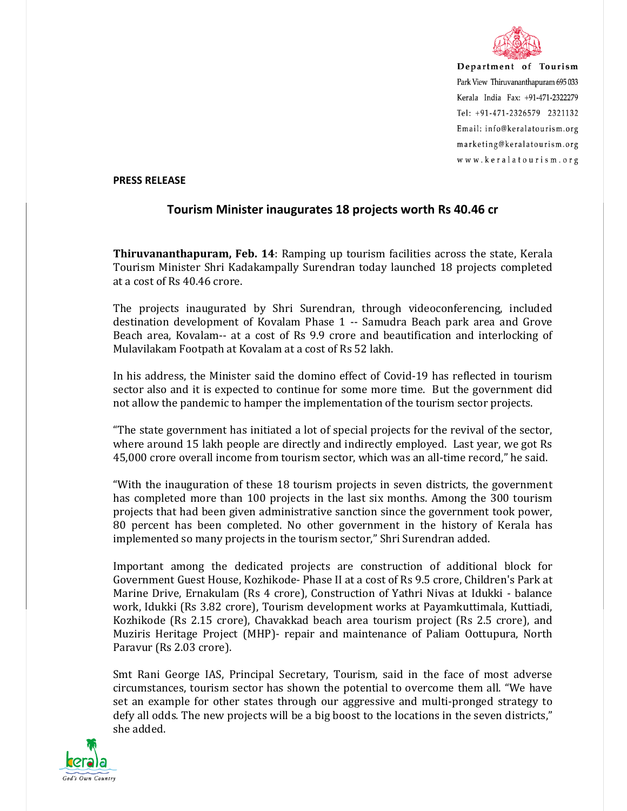

Department of Tourism Park View Thiruvananthapuram 695 033 Kerala India Fax: +91-471-2322279 Tel: +91-471-2326579 2321132 Email: info@keralatourism.org marketing@keralatourism.org www.keralatourism.org

## **PRESS RELEASE**

## **Tourism Minister inaugurates 18 projects worth Rs 40.46 cr**

**Thiruvananthapuram, Feb. 14**: Ramping up tourism facilities across the state, Kerala Tourism Minister Shri Kadakampally Surendran today launched 18 projects completed at a cost of Rs 40.46 crore.

The projects inaugurated by Shri Surendran, through videoconferencing, included destination development of Kovalam Phase 1 -- Samudra Beach park area and Grove Beach area, Kovalam-- at a cost of Rs 9.9 crore and beautification and interlocking of Mulavilakam Footpath at Kovalam at a cost of Rs 52 lakh.

In his address, the Minister said the domino effect of Covid-19 has reflected in tourism sector also and it is expected to continue for some more time. But the government did not allow the pandemic to hamper the implementation of the tourism sector projects.

"The state government has initiated a lot of special projects for the revival of the sector, where around 15 lakh people are directly and indirectly employed. Last year, we got Rs 45,000 crore overall income from tourism sector, which was an all-time record," he said.

"With the inauguration of these 18 tourism projects in seven districts, the government has completed more than 100 projects in the last six months. Among the 300 tourism projects that had been given administrative sanction since the government took power, 80 percent has been completed. No other government in the history of Kerala has implemented so many projects in the tourism sector," Shri Surendran added.

Important among the dedicated projects are construction of additional block for Government Guest House, Kozhikode- Phase II at a cost of Rs 9.5 crore, Children's Park at Marine Drive, Ernakulam (Rs 4 crore), Construction of Yathri Nivas at Idukki - balance work, Idukki (Rs 3.82 crore), Tourism development works at Payamkuttimala, Kuttiadi, Kozhikode (Rs 2.15 crore), Chavakkad beach area tourism project (Rs 2.5 crore), and Muziris Heritage Project (MHP)- repair and maintenance of Paliam Oottupura, North Paravur (Rs 2.03 crore).

Smt Rani George IAS, Principal Secretary, Tourism, said in the face of most adverse circumstances, tourism sector has shown the potential to overcome them all. "We have set an example for other states through our aggressive and multi-pronged strategy to defy all odds. The new projects will be a big boost to the locations in the seven districts," she added.